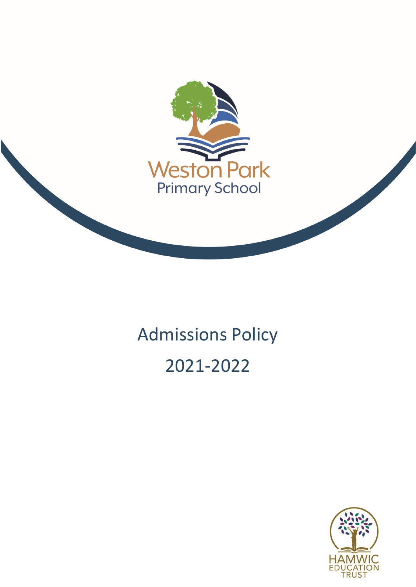

# Admissions Policy 2021-2022

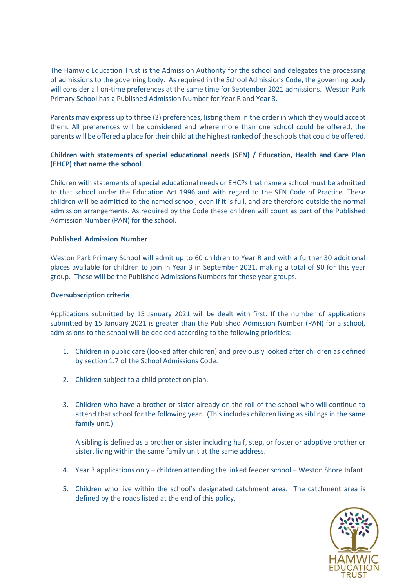The Hamwic Education Trust is the Admission Authority for the school and delegates the processing of admissions to the governing body. As required in the School Admissions Code, the governing body will consider all on-time preferences at the same time for September 2021 admissions. Weston Park Primary School has a Published Admission Number for Year R and Year 3.

Parents may express up to three (3) preferences, listing them in the order in which they would accept them. All preferences will be considered and where more than one school could be offered, the parents will be offered a place for their child at the highest ranked of the schools that could be offered.

# **Children with statements of special educational needs (SEN) / Education, Health and Care Plan (EHCP) that name the school**

Children with statements of special educational needs or EHCPs that name a school must be admitted to that school under the Education Act 1996 and with regard to the SEN Code of Practice. These children will be admitted to the named school, even if it is full, and are therefore outside the normal admission arrangements. As required by the Code these children will count as part of the Published Admission Number (PAN) for the school.

### **Published Admission Number**

Weston Park Primary School will admit up to 60 children to Year R and with a further 30 additional places available for children to join in Year 3 in September 2021, making a total of 90 for this year group. These will be the Published Admissions Numbers for these year groups.

### **Oversubscription criteria**

Applications submitted by 15 January 2021 will be dealt with first. If the number of applications submitted by 15 January 2021 is greater than the Published Admission Number (PAN) for a school, admissions to the school will be decided according to the following priorities:

- 1. Children in public care (looked after children) and previously looked after children as defined by section 1.7 of the School Admissions Code.
- 2. Children subject to a child protection plan.
- 3. Children who have a brother or sister already on the roll of the school who will continue to attend that school for the following year. (This includes children living as siblings in the same family unit.)

A sibling is defined as a brother or sister including half, step, or foster or adoptive brother or sister, living within the same family unit at the same address.

- 4. Year 3 applications only children attending the linked feeder school Weston Shore Infant.
- 5. Children who live within the school's designated catchment area. The catchment area is defined by the roads listed at the end of this policy.

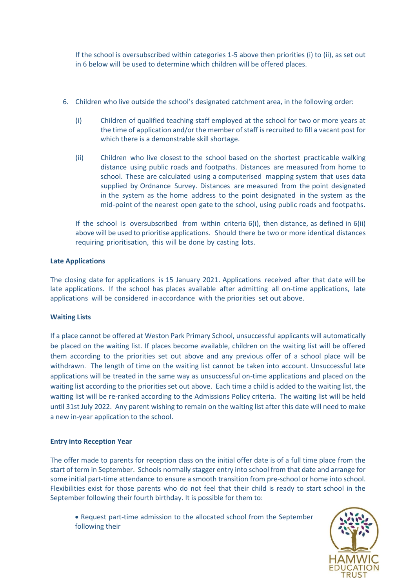If the school is oversubscribed within categories 1-5 above then priorities (i) to (ii), as set out in 6 below will be used to determine which children will be offered places.

- 6. Children who live outside the school's designated catchment area, in the following order:
	- (i) Children of qualified teaching staff employed at the school for two or more years at the time of application and/or the member of staff is recruited to fill a vacant post for which there is a demonstrable skill shortage.
	- (ii) Children who live closest to the school based on the shortest practicable walking distance using public roads and footpaths. Distances are measured from home to school. These are calculated using a computerised mapping system that uses data supplied by Ordnance Survey. Distances are measured from the point designated in the system as the home address to the point designated in the system as the mid-point of the nearest open gate to the school, using public roads and footpaths.

If the school is oversubscribed from within criteria  $6(i)$ , then distance, as defined in  $6(i)$ above will be used to prioritise applications. Should there be two or more identical distances requiring prioritisation, this will be done by casting lots.

# **Late Applications**

The closing date for applications is 15 January 2021. Applications received after that date will be late applications. If the school has places available after admitting all on-time applications, late applications will be considered in·accordance with the priorities set out above.

### **Waiting Lists**

If a place cannot be offered at Weston Park Primary School, unsuccessful applicants will automatically be placed on the waiting list. If places become available, children on the waiting list will be offered them according to the priorities set out above and any previous offer of a school place will be withdrawn. The length of time on the waiting list cannot be taken into account. Unsuccessful late applications will be treated in the same way as unsuccessful on-time applications and placed on the waiting list according to the priorities set out above. Each time a child is added to the waiting list, the waiting list will be re-ranked according to the Admissions Policy criteria. The waiting list will be held until 31st July 2022. Any parent wishing to remain on the waiting list after this date will need to make a new in-year application to the school.

### **Entry into Reception Year**

The offer made to parents for reception class on the initial offer date is of a full time place from the start of term in September. Schools normally stagger entry into school from that date and arrange for some initial part-time attendance to ensure a smooth transition from pre-school or home into school. Flexibilities exist for those parents who do not feel that their child is ready to start school in the September following their fourth birthday. It is possible for them to:

 Request part-time admission to the allocated school from the September following their

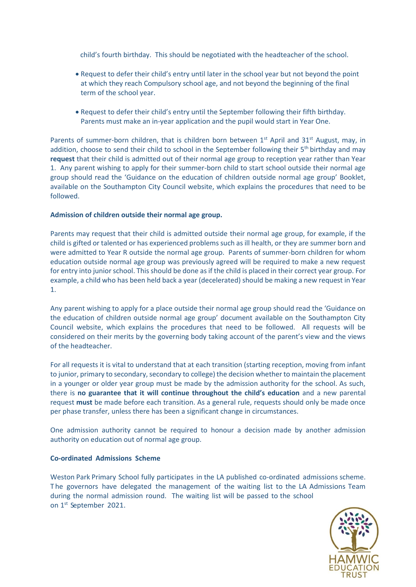child's fourth birthday. This should be negotiated with the headteacher of the school.

- Request to defer their child's entry until later in the school year but not beyond the point at which they reach Compulsory school age, and not beyond the beginning of the final term of the school year.
- Request to defer their child's entry until the September following their fifth birthday. Parents must make an in-year application and the pupil would start in Year One.

Parents of summer-born children, that is children born between  $1<sup>st</sup>$  April and 31<sup>st</sup> August, may, in addition, choose to send their child to school in the September following their 5<sup>th</sup> birthday and may **request** that their child is admitted out of their normal age group to reception year rather than Year 1. Any parent wishing to apply for their summer-born child to start school outside their normal age group should read the 'Guidance on the education of children outside normal age group' Booklet, available on the Southampton City Council website, which explains the procedures that need to be followed.

### **Admission of children outside their normal age group.**

Parents may request that their child is admitted outside their normal age group, for example, if the child is gifted or talented or has experienced problems such as ill health, or they are summer born and were admitted to Year R outside the normal age group. Parents of summer-born children for whom education outside normal age group was previously agreed will be required to make a new request for entry into junior school. This should be done as if the child is placed in their correct year group. For example, a child who has been held back a year (decelerated) should be making a new request in Year 1.

Any parent wishing to apply for a place outside their normal age group should read the 'Guidance on the education of children outside normal age group' document available on the Southampton City Council website, which explains the procedures that need to be followed. All requests will be considered on their merits by the governing body taking account of the parent's view and the views of the headteacher.

For all requests it is vital to understand that at each transition (starting reception, moving from infant to junior, primary to secondary, secondary to college) the decision whether to maintain the placement in a younger or older year group must be made by the admission authority for the school. As such, there is **no guarantee that it will continue throughout the child's education** and a new parental request **must** be made before each transition. As a general rule, requests should only be made once per phase transfer, unless there has been a significant change in circumstances.

One admission authority cannot be required to honour a decision made by another admission authority on education out of normal age group.

#### **Co-ordinated Admissions Scheme**

Weston Park Primary School fully participates in the LA published co-ordinated admissions scheme. T he governors have delegated the management of the waiting list to the LA Admissions Team during the normal admission round. The waiting list will be passed to the school on 1 st September 2021.

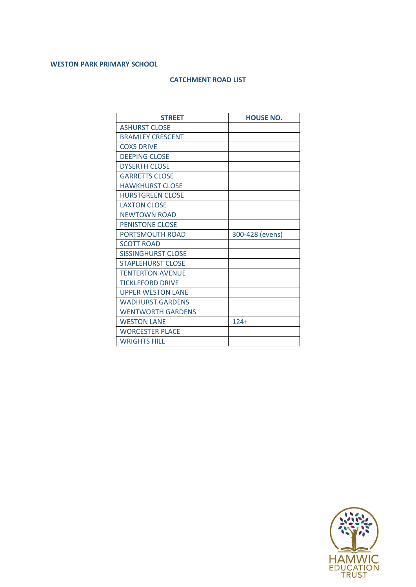# **WESTON PARK PRIMARY SCHOOL**

# **CATCHMENT ROAD LIST**

| <b>STREET</b>             | <b>HOUSE NO.</b> |
|---------------------------|------------------|
| <b>ASHURST CLOSE</b>      |                  |
| <b>BRAMLEY CRESCENT</b>   |                  |
| <b>COXS DRIVE</b>         |                  |
| <b>DEEPING CLOSE</b>      |                  |
| <b>DYSERTH CLOSE</b>      |                  |
| <b>GARRETTS CLOSE</b>     |                  |
| <b>HAWKHURST CLOSE</b>    |                  |
| <b>HURSTGREEN CLOSE</b>   |                  |
| <b>LAXTON CLOSE</b>       |                  |
| <b>NEWTOWN ROAD</b>       |                  |
| <b>PENISTONE CLOSE</b>    |                  |
| <b>PORTSMOUTH ROAD</b>    | 300-428 (evens)  |
| <b>SCOTT ROAD</b>         |                  |
| <b>SISSINGHURST CLOSE</b> |                  |
| <b>STAPLEHURST CLOSE</b>  |                  |
| <b>TENTERTON AVENUE</b>   |                  |
| <b>TICKLEFORD DRIVE</b>   |                  |
| <b>UPPER WESTON LANE</b>  |                  |
| <b>WADHURST GARDENS</b>   |                  |
| <b>WENTWORTH GARDENS</b>  |                  |
| <b>WESTON LANE</b>        | $124 +$          |
| <b>WORCESTER PLACE</b>    |                  |
| <b>WRIGHTS HILL</b>       |                  |